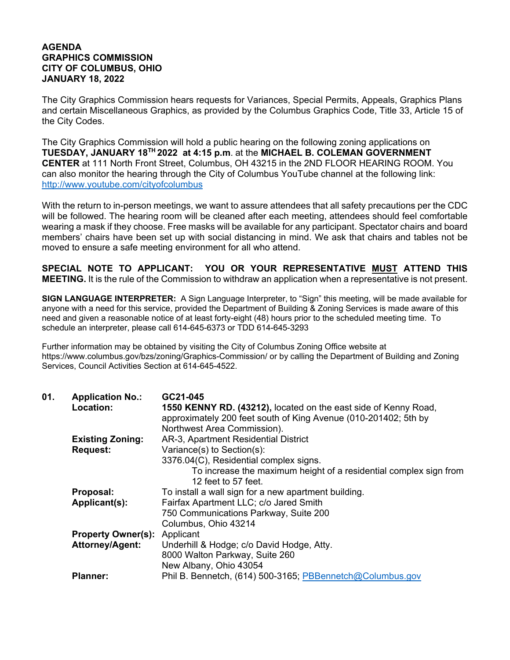## **AGENDA GRAPHICS COMMISSION CITY OF COLUMBUS, OHIO JANUARY 18, 2022**

The City Graphics Commission hears requests for Variances, Special Permits, Appeals, Graphics Plans and certain Miscellaneous Graphics, as provided by the Columbus Graphics Code, Title 33, Article 15 of the City Codes.

The City Graphics Commission will hold a public hearing on the following zoning applications on **TUESDAY, JANUARY 18TH 2022 at 4:15 p.m**. at the **MICHAEL B. COLEMAN GOVERNMENT CENTER** at 111 North Front Street, Columbus, OH 43215 in the 2ND FLOOR HEARING ROOM. You can also monitor the hearing through the City of Columbus YouTube channel at the following link: http://www.youtube.com/cityofcolumbus

With the return to in-person meetings, we want to assure attendees that all safety precautions per the CDC will be followed. The hearing room will be cleaned after each meeting, attendees should feel comfortable wearing a mask if they choose. Free masks will be available for any participant. Spectator chairs and board members' chairs have been set up with social distancing in mind. We ask that chairs and tables not be moved to ensure a safe meeting environment for all who attend.

**SPECIAL NOTE TO APPLICANT: YOU OR YOUR REPRESENTATIVE MUST ATTEND THIS MEETING.** It is the rule of the Commission to withdraw an application when a representative is not present.

**SIGN LANGUAGE INTERPRETER:** A Sign Language Interpreter, to "Sign" this meeting, will be made available for anyone with a need for this service, provided the Department of Building & Zoning Services is made aware of this need and given a reasonable notice of at least forty-eight (48) hours prior to the scheduled meeting time. To schedule an interpreter, please call 614-645-6373 or TDD 614-645-3293

Further information may be obtained by visiting the City of Columbus Zoning Office website at https://www.columbus.gov/bzs/zoning/Graphics-Commission/ or by calling the Department of Building and Zoning Services, Council Activities Section at 614-645-4522.

| 01. | <b>Application No.:</b>   | GC21-045                                                          |
|-----|---------------------------|-------------------------------------------------------------------|
|     | Location:                 | 1550 KENNY RD. (43212), located on the east side of Kenny Road,   |
|     |                           | approximately 200 feet south of King Avenue (010-201402; 5th by   |
|     |                           | Northwest Area Commission).                                       |
|     | <b>Existing Zoning:</b>   | AR-3, Apartment Residential District                              |
|     | <b>Request:</b>           | Variance(s) to Section(s):                                        |
|     |                           | 3376.04(C), Residential complex signs.                            |
|     |                           | To increase the maximum height of a residential complex sign from |
|     |                           | 12 feet to 57 feet.                                               |
|     | Proposal:                 | To install a wall sign for a new apartment building.              |
|     | Applicant(s):             | Fairfax Apartment LLC; c/o Jared Smith                            |
|     |                           | 750 Communications Parkway, Suite 200                             |
|     |                           | Columbus, Ohio 43214                                              |
|     | <b>Property Owner(s):</b> | Applicant                                                         |
|     | <b>Attorney/Agent:</b>    | Underhill & Hodge; c/o David Hodge, Atty.                         |
|     |                           | 8000 Walton Parkway, Suite 260                                    |
|     |                           | New Albany, Ohio 43054                                            |
|     | <b>Planner:</b>           | Phil B. Bennetch, (614) 500-3165; PBBennetch@Columbus.gov         |